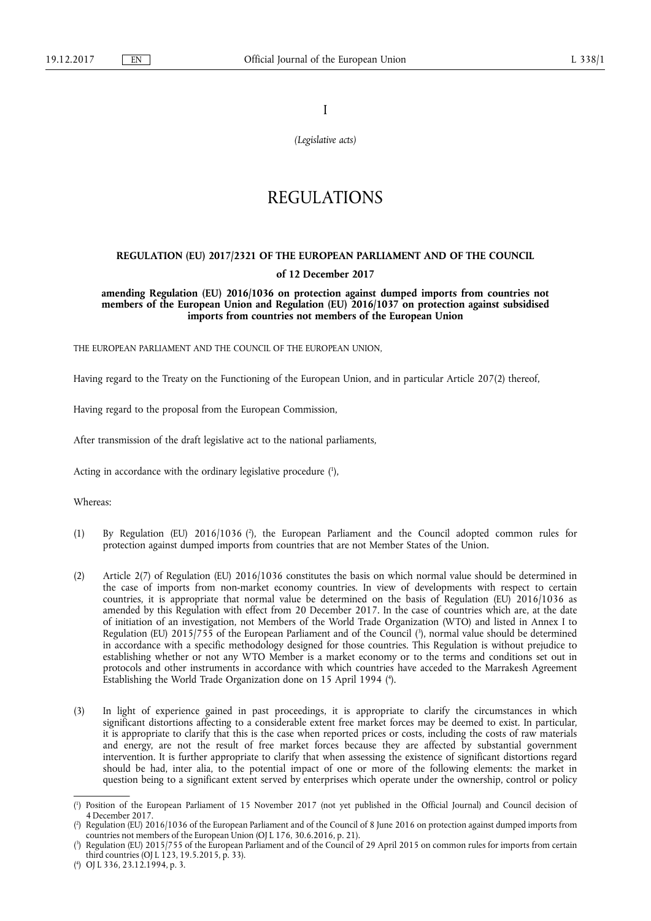I

*(Legislative acts)* 

# REGULATIONS

# **REGULATION (EU) 2017/2321 OF THE EUROPEAN PARLIAMENT AND OF THE COUNCIL**

# **of 12 December 2017**

**amending Regulation (EU) 2016/1036 on protection against dumped imports from countries not members of the European Union and Regulation (EU) 2016/1037 on protection against subsidised imports from countries not members of the European Union** 

THE EUROPEAN PARLIAMENT AND THE COUNCIL OF THE EUROPEAN UNION,

Having regard to the Treaty on the Functioning of the European Union, and in particular Article 207(2) thereof,

Having regard to the proposal from the European Commission,

After transmission of the draft legislative act to the national parliaments,

Acting in accordance with the ordinary legislative procedure (1),

Whereas:

- (1) By Regulation (EU) 2016/1036 ( 2 ), the European Parliament and the Council adopted common rules for protection against dumped imports from countries that are not Member States of the Union.
- (2) Article 2(7) of Regulation (EU) 2016/1036 constitutes the basis on which normal value should be determined in the case of imports from non-market economy countries. In view of developments with respect to certain countries, it is appropriate that normal value be determined on the basis of Regulation (EU) 2016/1036 as amended by this Regulation with effect from 20 December 2017. In the case of countries which are, at the date of initiation of an investigation, not Members of the World Trade Organization (WTO) and listed in Annex I to Regulation (EU) 2015/755 of the European Parliament and of the Council ( 3 ), normal value should be determined in accordance with a specific methodology designed for those countries. This Regulation is without prejudice to establishing whether or not any WTO Member is a market economy or to the terms and conditions set out in protocols and other instruments in accordance with which countries have acceded to the Marrakesh Agreement Establishing the World Trade Organization done on 15 April 1994 ( 4 ).
- (3) In light of experience gained in past proceedings, it is appropriate to clarify the circumstances in which significant distortions affecting to a considerable extent free market forces may be deemed to exist. In particular, it is appropriate to clarify that this is the case when reported prices or costs, including the costs of raw materials and energy, are not the result of free market forces because they are affected by substantial government intervention. It is further appropriate to clarify that when assessing the existence of significant distortions regard should be had, inter alia, to the potential impact of one or more of the following elements: the market in question being to a significant extent served by enterprises which operate under the ownership, control or policy

<sup>(</sup> 1 ) Position of the European Parliament of 15 November 2017 (not yet published in the Official Journal) and Council decision of 4 December 2017.

<sup>(</sup> 2 ) Regulation (EU) 2016/1036 of the European Parliament and of the Council of 8 June 2016 on protection against dumped imports from countries not members of the European Union (OJ L 176, 30.6.2016, p. 21).

<sup>(</sup> 3 Regulation (EU) 2015/755 of the European Parliament and of the Council of 29 April 2015 on common rules for imports from certain third countries (OJ L 123, 19.5.2015, p. 33).

<sup>(</sup> 4 ) OJ L 336, 23.12.1994, p. 3.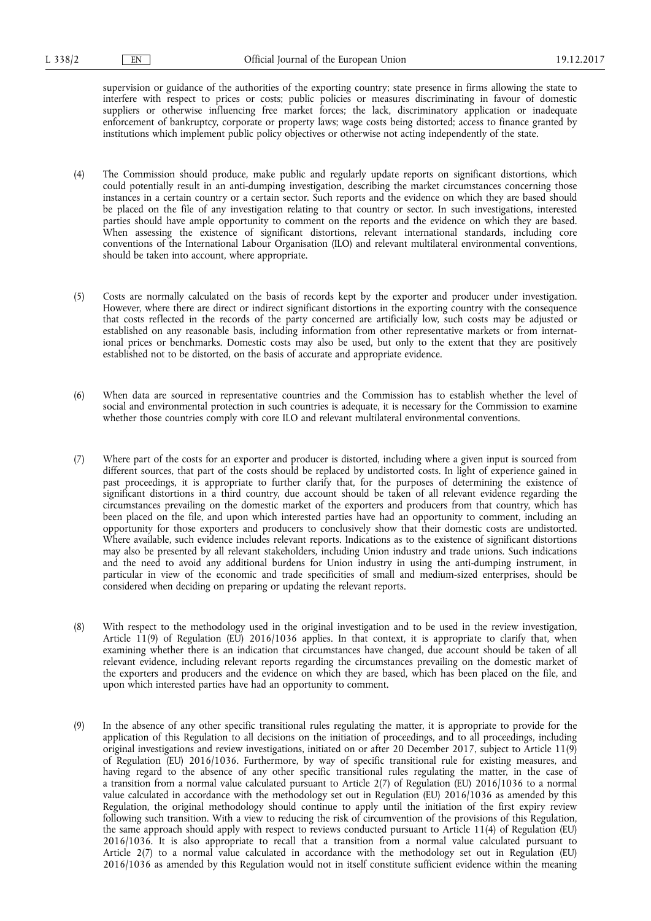supervision or guidance of the authorities of the exporting country; state presence in firms allowing the state to interfere with respect to prices or costs; public policies or measures discriminating in favour of domestic suppliers or otherwise influencing free market forces; the lack, discriminatory application or inadequate enforcement of bankruptcy, corporate or property laws; wage costs being distorted; access to finance granted by institutions which implement public policy objectives or otherwise not acting independently of the state.

- (4) The Commission should produce, make public and regularly update reports on significant distortions, which could potentially result in an anti-dumping investigation, describing the market circumstances concerning those instances in a certain country or a certain sector. Such reports and the evidence on which they are based should be placed on the file of any investigation relating to that country or sector. In such investigations, interested parties should have ample opportunity to comment on the reports and the evidence on which they are based. When assessing the existence of significant distortions, relevant international standards, including core conventions of the International Labour Organisation (ILO) and relevant multilateral environmental conventions, should be taken into account, where appropriate.
- (5) Costs are normally calculated on the basis of records kept by the exporter and producer under investigation. However, where there are direct or indirect significant distortions in the exporting country with the consequence that costs reflected in the records of the party concerned are artificially low, such costs may be adjusted or established on any reasonable basis, including information from other representative markets or from international prices or benchmarks. Domestic costs may also be used, but only to the extent that they are positively established not to be distorted, on the basis of accurate and appropriate evidence.
- (6) When data are sourced in representative countries and the Commission has to establish whether the level of social and environmental protection in such countries is adequate, it is necessary for the Commission to examine whether those countries comply with core ILO and relevant multilateral environmental conventions.
- (7) Where part of the costs for an exporter and producer is distorted, including where a given input is sourced from different sources, that part of the costs should be replaced by undistorted costs. In light of experience gained in past proceedings, it is appropriate to further clarify that, for the purposes of determining the existence of significant distortions in a third country, due account should be taken of all relevant evidence regarding the circumstances prevailing on the domestic market of the exporters and producers from that country, which has been placed on the file, and upon which interested parties have had an opportunity to comment, including an opportunity for those exporters and producers to conclusively show that their domestic costs are undistorted. Where available, such evidence includes relevant reports. Indications as to the existence of significant distortions may also be presented by all relevant stakeholders, including Union industry and trade unions. Such indications and the need to avoid any additional burdens for Union industry in using the anti-dumping instrument, in particular in view of the economic and trade specificities of small and medium-sized enterprises, should be considered when deciding on preparing or updating the relevant reports.
- (8) With respect to the methodology used in the original investigation and to be used in the review investigation, Article 11(9) of Regulation (EU) 2016/1036 applies. In that context, it is appropriate to clarify that, when examining whether there is an indication that circumstances have changed, due account should be taken of all relevant evidence, including relevant reports regarding the circumstances prevailing on the domestic market of the exporters and producers and the evidence on which they are based, which has been placed on the file, and upon which interested parties have had an opportunity to comment.
- (9) In the absence of any other specific transitional rules regulating the matter, it is appropriate to provide for the application of this Regulation to all decisions on the initiation of proceedings, and to all proceedings, including original investigations and review investigations, initiated on or after 20 December 2017, subject to Article 11(9) of Regulation (EU) 2016/1036. Furthermore, by way of specific transitional rule for existing measures, and having regard to the absence of any other specific transitional rules regulating the matter, in the case of a transition from a normal value calculated pursuant to Article 2(7) of Regulation (EU) 2016/1036 to a normal value calculated in accordance with the methodology set out in Regulation (EU) 2016/1036 as amended by this Regulation, the original methodology should continue to apply until the initiation of the first expiry review following such transition. With a view to reducing the risk of circumvention of the provisions of this Regulation, the same approach should apply with respect to reviews conducted pursuant to Article 11(4) of Regulation (EU) 2016/1036. It is also appropriate to recall that a transition from a normal value calculated pursuant to Article 2(7) to a normal value calculated in accordance with the methodology set out in Regulation (EU) 2016/1036 as amended by this Regulation would not in itself constitute sufficient evidence within the meaning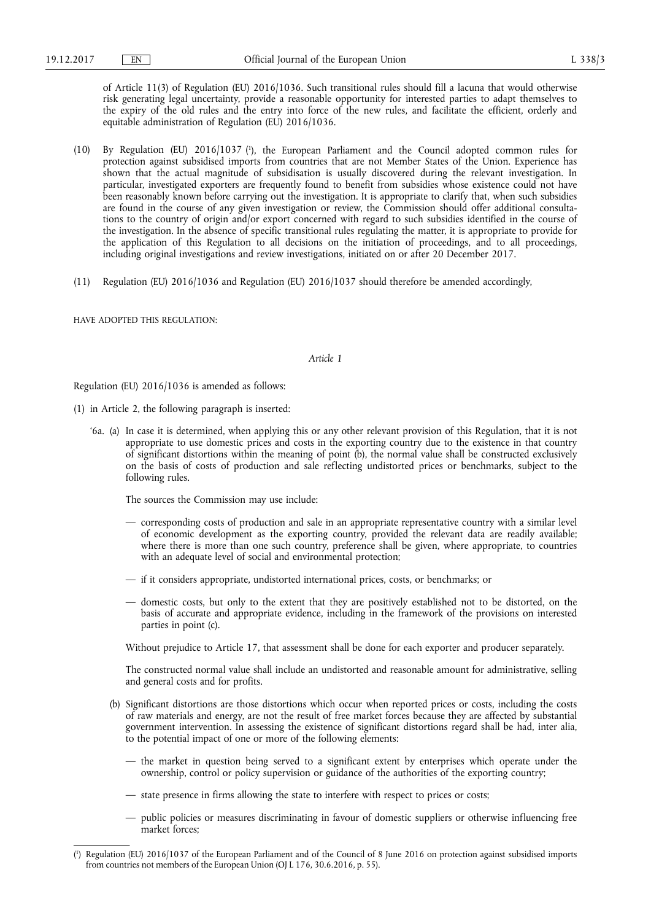of Article 11(3) of Regulation (EU) 2016/1036. Such transitional rules should fill a lacuna that would otherwise risk generating legal uncertainty, provide a reasonable opportunity for interested parties to adapt themselves to the expiry of the old rules and the entry into force of the new rules, and facilitate the efficient, orderly and equitable administration of Regulation (EU) 2016/1036.

- (10) By Regulation (EU) 2016/1037 ( 1 ), the European Parliament and the Council adopted common rules for protection against subsidised imports from countries that are not Member States of the Union. Experience has shown that the actual magnitude of subsidisation is usually discovered during the relevant investigation. In particular, investigated exporters are frequently found to benefit from subsidies whose existence could not have been reasonably known before carrying out the investigation. It is appropriate to clarify that, when such subsidies are found in the course of any given investigation or review, the Commission should offer additional consultations to the country of origin and/or export concerned with regard to such subsidies identified in the course of the investigation. In the absence of specific transitional rules regulating the matter, it is appropriate to provide for the application of this Regulation to all decisions on the initiation of proceedings, and to all proceedings, including original investigations and review investigations, initiated on or after 20 December 2017.
- (11) Regulation (EU) 2016/1036 and Regulation (EU) 2016/1037 should therefore be amended accordingly,

HAVE ADOPTED THIS REGULATION:

## *Article 1*

Regulation (EU) 2016/1036 is amended as follows:

- (1) in Article 2, the following paragraph is inserted:
	- '6a. (a) In case it is determined, when applying this or any other relevant provision of this Regulation, that it is not appropriate to use domestic prices and costs in the exporting country due to the existence in that country of significant distortions within the meaning of point (b), the normal value shall be constructed exclusively on the basis of costs of production and sale reflecting undistorted prices or benchmarks, subject to the following rules.

The sources the Commission may use include:

- corresponding costs of production and sale in an appropriate representative country with a similar level of economic development as the exporting country, provided the relevant data are readily available; where there is more than one such country, preference shall be given, where appropriate, to countries with an adequate level of social and environmental protection;
- if it considers appropriate, undistorted international prices, costs, or benchmarks; or
- domestic costs, but only to the extent that they are positively established not to be distorted, on the basis of accurate and appropriate evidence, including in the framework of the provisions on interested parties in point (c).

Without prejudice to Article 17, that assessment shall be done for each exporter and producer separately.

The constructed normal value shall include an undistorted and reasonable amount for administrative, selling and general costs and for profits.

- (b) Significant distortions are those distortions which occur when reported prices or costs, including the costs of raw materials and energy, are not the result of free market forces because they are affected by substantial government intervention. In assessing the existence of significant distortions regard shall be had, inter alia, to the potential impact of one or more of the following elements:
	- the market in question being served to a significant extent by enterprises which operate under the ownership, control or policy supervision or guidance of the authorities of the exporting country;
	- state presence in firms allowing the state to interfere with respect to prices or costs;
	- public policies or measures discriminating in favour of domestic suppliers or otherwise influencing free market forces;

<sup>(</sup> 1 ) Regulation (EU) 2016/1037 of the European Parliament and of the Council of 8 June 2016 on protection against subsidised imports from countries not members of the European Union (OJ L 176, 30.6.2016, p. 55).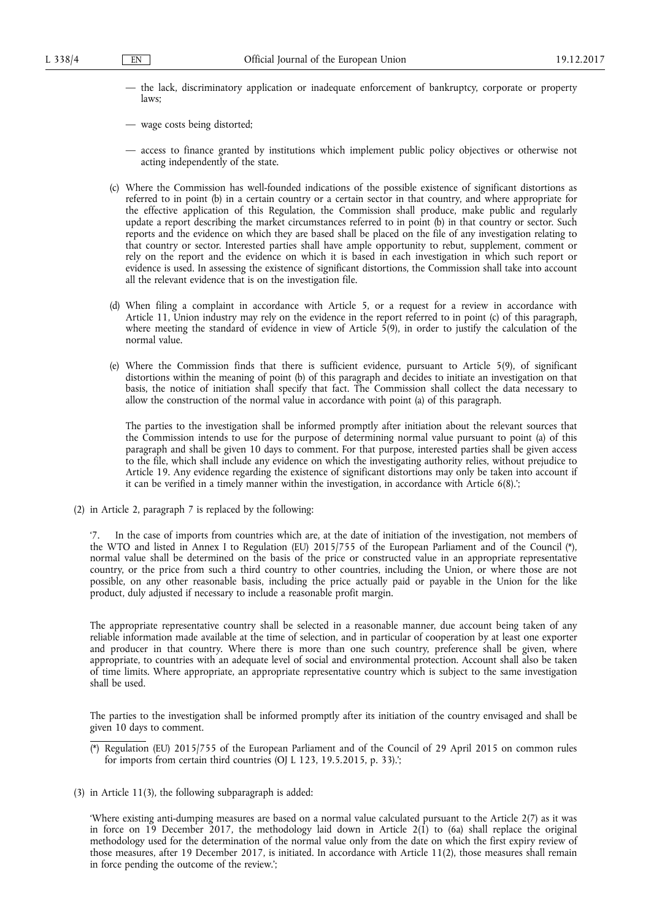- the lack, discriminatory application or inadequate enforcement of bankruptcy, corporate or property laws;
- wage costs being distorted;
- access to finance granted by institutions which implement public policy objectives or otherwise not acting independently of the state.
- (c) Where the Commission has well-founded indications of the possible existence of significant distortions as referred to in point (b) in a certain country or a certain sector in that country, and where appropriate for the effective application of this Regulation, the Commission shall produce, make public and regularly update a report describing the market circumstances referred to in point (b) in that country or sector. Such reports and the evidence on which they are based shall be placed on the file of any investigation relating to that country or sector. Interested parties shall have ample opportunity to rebut, supplement, comment or rely on the report and the evidence on which it is based in each investigation in which such report or evidence is used. In assessing the existence of significant distortions, the Commission shall take into account all the relevant evidence that is on the investigation file.
- (d) When filing a complaint in accordance with Article 5, or a request for a review in accordance with Article 11, Union industry may rely on the evidence in the report referred to in point (c) of this paragraph, where meeting the standard of evidence in view of Article  $\zeta(9)$ , in order to justify the calculation of the normal value.
- (e) Where the Commission finds that there is sufficient evidence, pursuant to Article 5(9), of significant distortions within the meaning of point (b) of this paragraph and decides to initiate an investigation on that basis, the notice of initiation shall specify that fact. The Commission shall collect the data necessary to allow the construction of the normal value in accordance with point (a) of this paragraph.

The parties to the investigation shall be informed promptly after initiation about the relevant sources that the Commission intends to use for the purpose of determining normal value pursuant to point (a) of this paragraph and shall be given 10 days to comment. For that purpose, interested parties shall be given access to the file, which shall include any evidence on which the investigating authority relies, without prejudice to Article 19. Any evidence regarding the existence of significant distortions may only be taken into account if it can be verified in a timely manner within the investigation, in accordance with Article 6(8).';

(2) in Article 2, paragraph 7 is replaced by the following:

'7. In the case of imports from countries which are, at the date of initiation of the investigation, not members of the WTO and listed in Annex I to Regulation (EU) 2015/755 of the European Parliament and of the Council (\*), normal value shall be determined on the basis of the price or constructed value in an appropriate representative country, or the price from such a third country to other countries, including the Union, or where those are not possible, on any other reasonable basis, including the price actually paid or payable in the Union for the like product, duly adjusted if necessary to include a reasonable profit margin.

The appropriate representative country shall be selected in a reasonable manner, due account being taken of any reliable information made available at the time of selection, and in particular of cooperation by at least one exporter and producer in that country. Where there is more than one such country, preference shall be given, where appropriate, to countries with an adequate level of social and environmental protection. Account shall also be taken of time limits. Where appropriate, an appropriate representative country which is subject to the same investigation shall be used.

The parties to the investigation shall be informed promptly after its initiation of the country envisaged and shall be given 10 days to comment.

- (\*) Regulation (EU) 2015/755 of the European Parliament and of the Council of 29 April 2015 on common rules for imports from certain third countries (OJ L 123, 19.5.2015, p. 33).';
- (3) in Article 11(3), the following subparagraph is added:

'Where existing anti-dumping measures are based on a normal value calculated pursuant to the Article 2(7) as it was in force on  $19$  December 2017, the methodology laid down in Article 2(1) to (6a) shall replace the original methodology used for the determination of the normal value only from the date on which the first expiry review of those measures, after 19 December 2017, is initiated. In accordance with Article 11(2), those measures shall remain in force pending the outcome of the review.';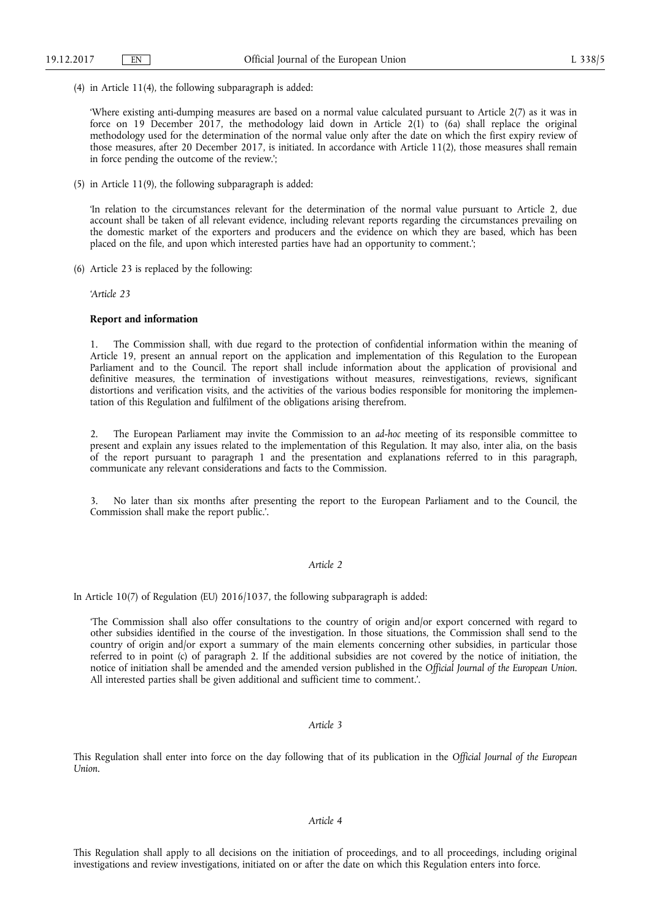(4) in Article 11(4), the following subparagraph is added:

'Where existing anti-dumping measures are based on a normal value calculated pursuant to Article 2(7) as it was in force on 19 December 2017, the methodology laid down in Article 2(1) to (6a) shall replace the original methodology used for the determination of the normal value only after the date on which the first expiry review of those measures, after 20 December 2017, is initiated. In accordance with Article 11(2), those measures shall remain in force pending the outcome of the review.';

(5) in Article 11(9), the following subparagraph is added:

'In relation to the circumstances relevant for the determination of the normal value pursuant to Article 2, due account shall be taken of all relevant evidence, including relevant reports regarding the circumstances prevailing on the domestic market of the exporters and producers and the evidence on which they are based, which has been placed on the file, and upon which interested parties have had an opportunity to comment.';

(6) Article 23 is replaced by the following:

*'Article 23* 

# **Report and information**

1. The Commission shall, with due regard to the protection of confidential information within the meaning of Article 19, present an annual report on the application and implementation of this Regulation to the European Parliament and to the Council. The report shall include information about the application of provisional and definitive measures, the termination of investigations without measures, reinvestigations, reviews, significant distortions and verification visits, and the activities of the various bodies responsible for monitoring the implementation of this Regulation and fulfilment of the obligations arising therefrom.

2. The European Parliament may invite the Commission to an *ad-hoc* meeting of its responsible committee to present and explain any issues related to the implementation of this Regulation. It may also, inter alia, on the basis of the report pursuant to paragraph 1 and the presentation and explanations referred to in this paragraph, communicate any relevant considerations and facts to the Commission.

3. No later than six months after presenting the report to the European Parliament and to the Council, the Commission shall make the report public.'.

#### *Article 2*

In Article 10(7) of Regulation (EU) 2016/1037, the following subparagraph is added:

'The Commission shall also offer consultations to the country of origin and/or export concerned with regard to other subsidies identified in the course of the investigation. In those situations, the Commission shall send to the country of origin and/or export a summary of the main elements concerning other subsidies, in particular those referred to in point (c) of paragraph 2. If the additional subsidies are not covered by the notice of initiation, the notice of initiation shall be amended and the amended version published in the *Official Journal of the European Union*. All interested parties shall be given additional and sufficient time to comment.'.

#### *Article 3*

This Regulation shall enter into force on the day following that of its publication in the *Official Journal of the European Union*.

# *Article 4*

This Regulation shall apply to all decisions on the initiation of proceedings, and to all proceedings, including original investigations and review investigations, initiated on or after the date on which this Regulation enters into force.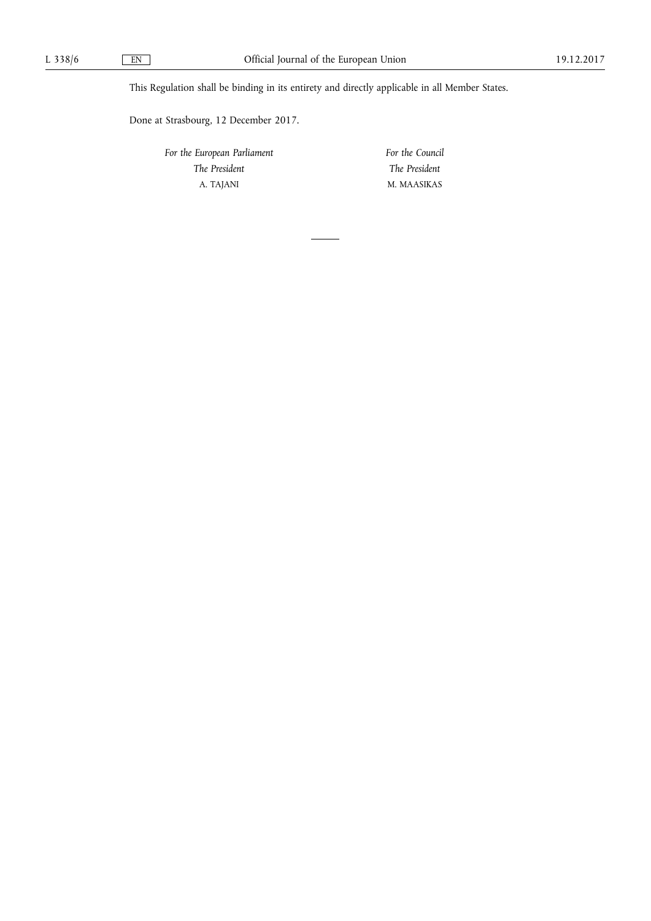This Regulation shall be binding in its entirety and directly applicable in all Member States.

Done at Strasbourg, 12 December 2017.

*For the European Parliament The President*  A. TAJANI

*For the Council The President*  M. MAASIKAS